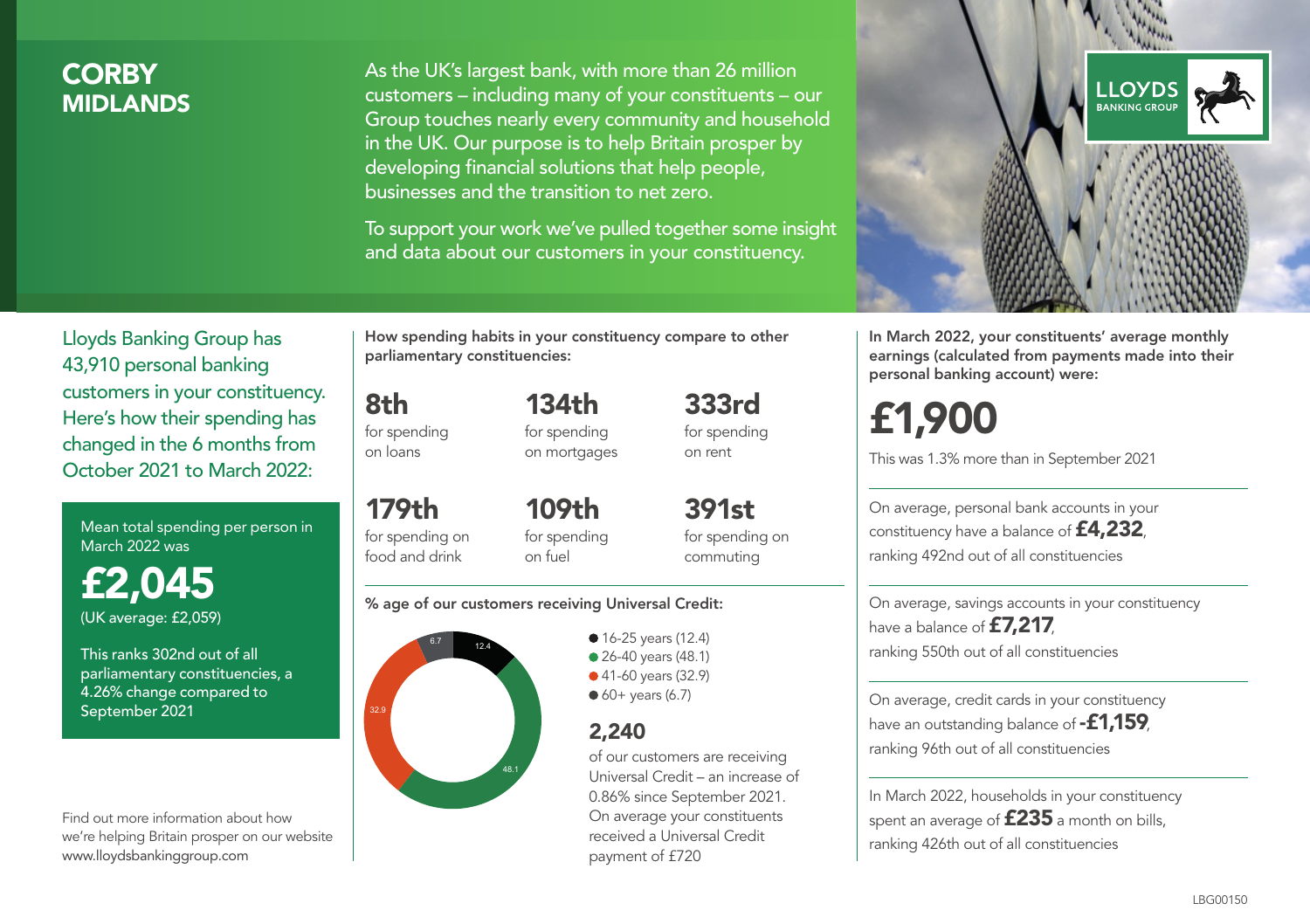# **CORBY** MIDLANDS

As the UK's largest bank, with more than 26 million customers – including many of your constituents – our Group touches nearly every community and household in the UK. Our purpose is to help Britain prosper by developing financial solutions that help people, businesses and the transition to net zero.

To support your work we've pulled together some insight and data about our customers in your constituency.



Mean total spending per person in March 2022 was

£2,045 (UK average: £2,059)

This ranks 302nd out of all parliamentary constituencies, a 4.26% change compared to September 2021

Find out more information about how we're helping Britain prosper on our website www.lloydsbankinggroup.com

How spending habits in your constituency compare to other parliamentary constituencies:

for spending

8th

on loans

179th for spending on food and drink

134th for spending on mortgages 333rd

109th for spending

391st for spending on commuting

for spending on rent

#### % age of our customers receiving Universal Credit:

on fuel



• 16-25 years (12.4) ● 26-40 years (48.1) ● 41-60 years (32.9)  $60+$  years (6.7)

# 2,240

of our customers are receiving Universal Credit – an increase of 0.86% since September 2021. On average your constituents received a Universal Credit payment of £720



In March 2022, your constituents' average monthly earnings (calculated from payments made into their personal banking account) were:

# £1,900

This was 1.3% more than in September 2021

On average, personal bank accounts in your constituency have a balance of £4,232, ranking 492nd out of all constituencies

On average, savings accounts in your constituency have a balance of **£7,217**, ranking 550th out of all constituencies

On average, credit cards in your constituency have an outstanding balance of **-£1,159**, ranking 96th out of all constituencies

In March 2022, households in your constituency spent an average of  $£235$  a month on bills, ranking 426th out of all constituencies

#### LBG00150